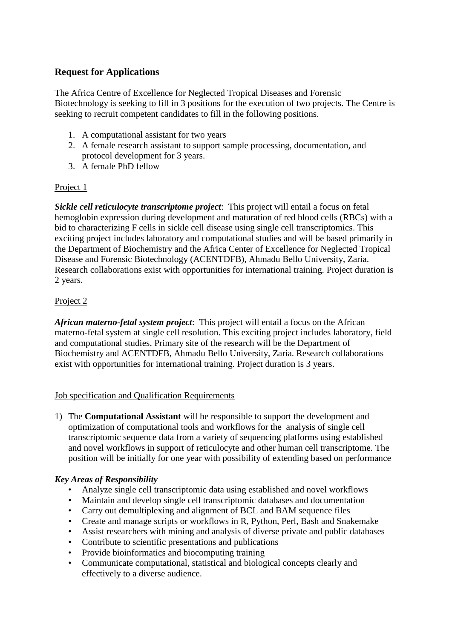# **Request for Applications**

The Africa Centre of Excellence for Neglected Tropical Diseases and Forensic Biotechnology is seeking to fill in 3 positions for the execution of two projects. The Centre is seeking to recruit competent candidates to fill in the following positions.

- 1. A computational assistant for two years
- 2. A female research assistant to support sample processing, documentation, and protocol development for 3 years.
- 3. A female PhD fellow

### Project 1

*Sickle cell reticulocyte transcriptome project*: This project will entail a focus on fetal hemoglobin expression during development and maturation of red blood cells (RBCs) with a bid to characterizing F cells in sickle cell disease using single cell transcriptomics. This exciting project includes laboratory and computational studies and will be based primarily in the Department of Biochemistry and the Africa Center of Excellence for Neglected Tropical Disease and Forensic Biotechnology (ACENTDFB), Ahmadu Bello University, Zaria. Research collaborations exist with opportunities for international training. Project duration is 2 years.

## Project 2

*African materno-fetal system project*: This project will entail a focus on the African materno-fetal system at single cell resolution. This exciting project includes laboratory, field and computational studies. Primary site of the research will be the Department of Biochemistry and ACENTDFB, Ahmadu Bello University, Zaria. Research collaborations exist with opportunities for international training. Project duration is 3 years.

### Job specification and Qualification Requirements

1) The **Computational Assistant** will be responsible to support the development and optimization of computational tools and workflows for the analysis of single cell transcriptomic sequence data from a variety of sequencing platforms using established and novel workflows in support of reticulocyte and other human cell transcriptome. The position will be initially for one year with possibility of extending based on performance

### *Key Areas of Responsibility*

- Analyze single cell transcriptomic data using established and novel workflows
- Maintain and develop single cell transcriptomic databases and documentation
- Carry out demultiplexing and alignment of BCL and BAM sequence files
- Create and manage scripts or workflows in R, Python, Perl, Bash and Snakemake
- Assist researchers with mining and analysis of diverse private and public databases
- Contribute to scientific presentations and publications
- Provide bioinformatics and biocomputing training
- Communicate computational, statistical and biological concepts clearly and effectively to a diverse audience.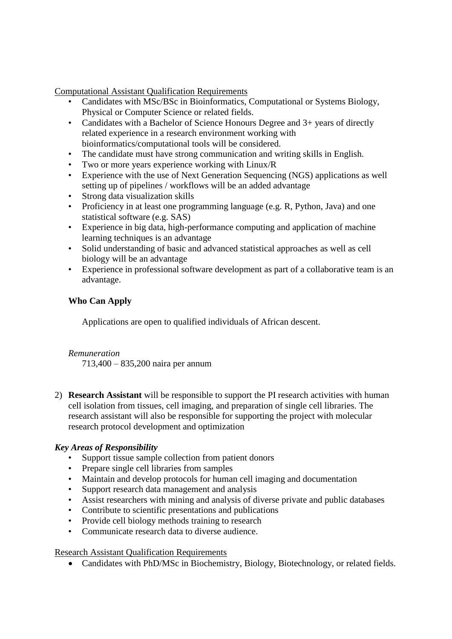Computational Assistant Qualification Requirements

- Candidates with MSc/BSc in Bioinformatics, Computational or Systems Biology, Physical or Computer Science or related fields.
- Candidates with a Bachelor of Science Honours Degree and 3+ years of directly related experience in a research environment working with bioinformatics/computational tools will be considered.
- The candidate must have strong communication and writing skills in English.
- Two or more years experience working with Linux/R
- Experience with the use of Next Generation Sequencing (NGS) applications as well setting up of pipelines / workflows will be an added advantage
- Strong data visualization skills
- Proficiency in at least one programming language (e.g. R, Python, Java) and one statistical software (e.g. SAS)
- Experience in big data, high-performance computing and application of machine learning techniques is an advantage
- Solid understanding of basic and advanced statistical approaches as well as cell biology will be an advantage
- Experience in professional software development as part of a collaborative team is an advantage.

### **Who Can Apply**

Applications are open to qualified individuals of African descent.

### *Remuneration*

713,400 – 835,200 naira per annum

2) **Research Assistant** will be responsible to support the PI research activities with human cell isolation from tissues, cell imaging, and preparation of single cell libraries. The research assistant will also be responsible for supporting the project with molecular research protocol development and optimization

### *Key Areas of Responsibility*

- Support tissue sample collection from patient donors
- Prepare single cell libraries from samples
- Maintain and develop protocols for human cell imaging and documentation
- Support research data management and analysis
- Assist researchers with mining and analysis of diverse private and public databases
- Contribute to scientific presentations and publications
- Provide cell biology methods training to research
- Communicate research data to diverse audience.

### Research Assistant Qualification Requirements

Candidates with PhD/MSc in Biochemistry, Biology, Biotechnology, or related fields.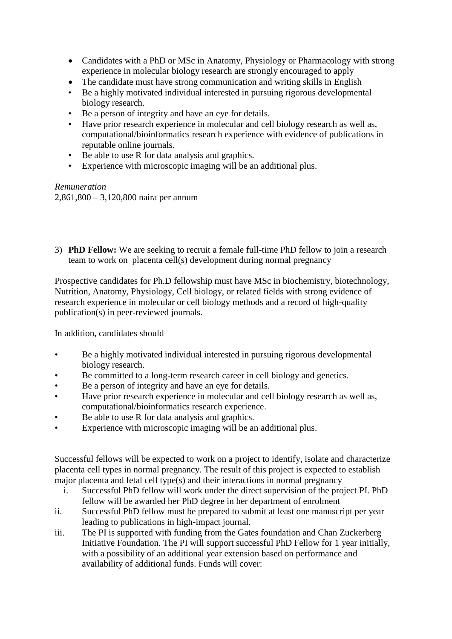- Candidates with a PhD or MSc in Anatomy, Physiology or Pharmacology with strong experience in molecular biology research are strongly encouraged to apply
- The candidate must have strong communication and writing skills in English
- Be a highly motivated individual interested in pursuing rigorous developmental biology research.
- Be a person of integrity and have an eye for details.
- Have prior research experience in molecular and cell biology research as well as, computational/bioinformatics research experience with evidence of publications in reputable online journals.
- Be able to use R for data analysis and graphics.
- Experience with microscopic imaging will be an additional plus.

*Remuneration* 

2,861,800 – 3,120,800 naira per annum

3) **PhD Fellow:** We are seeking to recruit a female full-time PhD fellow to join a research team to work on placenta cell(s) development during normal pregnancy

Prospective candidates for Ph.D fellowship must have MSc in biochemistry, biotechnology, Nutrition, Anatomy, Physiology, Cell biology, or related fields with strong evidence of research experience in molecular or cell biology methods and a record of high-quality publication(s) in peer-reviewed journals.

In addition, candidates should

- Be a highly motivated individual interested in pursuing rigorous developmental biology research.
- Be committed to a long-term research career in cell biology and genetics.
- Be a person of integrity and have an eye for details.
- Have prior research experience in molecular and cell biology research as well as, computational/bioinformatics research experience.
- Be able to use R for data analysis and graphics.
- Experience with microscopic imaging will be an additional plus.

Successful fellows will be expected to work on a project to identify, isolate and characterize placenta cell types in normal pregnancy. The result of this project is expected to establish major placenta and fetal cell type(s) and their interactions in normal pregnancy

- i. Successful PhD fellow will work under the direct supervision of the project PI. PhD fellow will be awarded her PhD degree in her department of enrolment
- ii. Successful PhD fellow must be prepared to submit at least one manuscript per year leading to publications in high-impact journal.
- iii. The PI is supported with funding from the Gates foundation and Chan Zuckerberg Initiative Foundation. The PI will support successful PhD Fellow for 1 year initially, with a possibility of an additional year extension based on performance and availability of additional funds. Funds will cover: